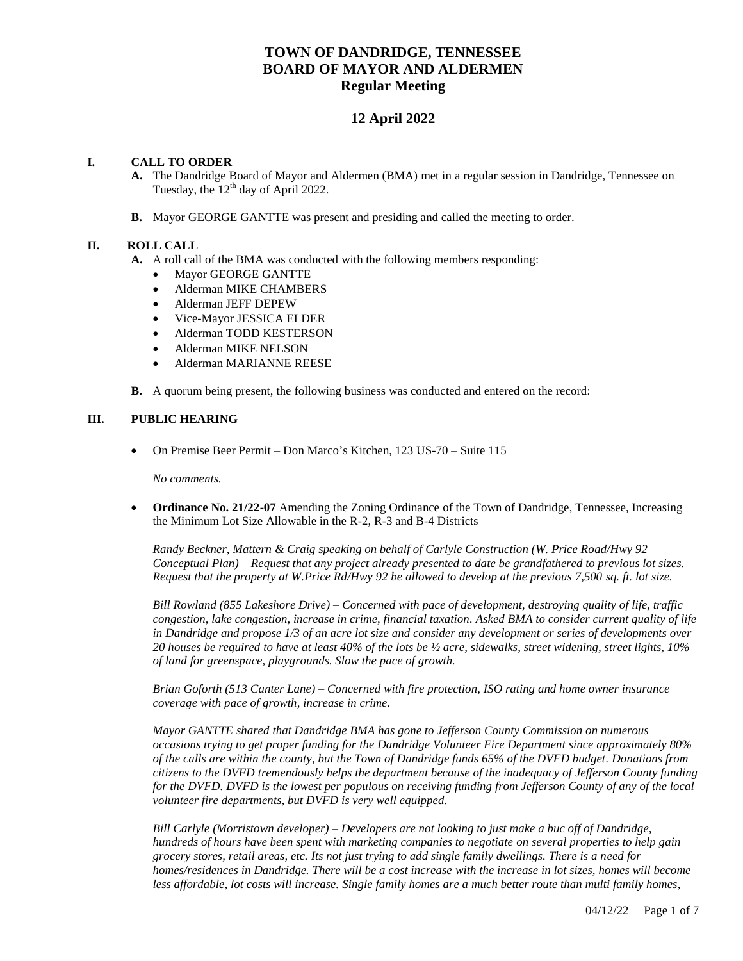# **TOWN OF DANDRIDGE, TENNESSEE BOARD OF MAYOR AND ALDERMEN Regular Meeting**

# **12 April 2022**

## **I. CALL TO ORDER**

- **A.** The Dandridge Board of Mayor and Aldermen (BMA) met in a regular session in Dandridge, Tennessee on Tuesday, the  $12^{th}$  day of April 2022.
- **B.** Mayor GEORGE GANTTE was present and presiding and called the meeting to order.

### **II. ROLL CALL**

- **A.** A roll call of the BMA was conducted with the following members responding:
	- Mayor GEORGE GANTTE
	- Alderman MIKE CHAMBERS
	- Alderman JEFF DEPEW
	- Vice-Mayor JESSICA ELDER
	- Alderman TODD KESTERSON
	- Alderman MIKE NELSON
	- Alderman MARIANNE REESE
- **B.** A quorum being present, the following business was conducted and entered on the record:

### **III. PUBLIC HEARING**

On Premise Beer Permit – Don Marco's Kitchen, 123 US-70 – Suite 115

*No comments.*

• **Ordinance No. 21/22-07** Amending the Zoning Ordinance of the Town of Dandridge, Tennessee, Increasing the Minimum Lot Size Allowable in the R-2, R-3 and B-4 Districts

*Randy Beckner, Mattern & Craig speaking on behalf of Carlyle Construction (W. Price Road/Hwy 92 Conceptual Plan) – Request that any project already presented to date be grandfathered to previous lot sizes. Request that the property at W.Price Rd/Hwy 92 be allowed to develop at the previous 7,500 sq. ft. lot size.* 

*Bill Rowland (855 Lakeshore Drive) – Concerned with pace of development, destroying quality of life, traffic congestion, lake congestion, increase in crime, financial taxation. Asked BMA to consider current quality of life in Dandridge and propose 1/3 of an acre lot size and consider any development or series of developments over 20 houses be required to have at least 40% of the lots be ½ acre, sidewalks, street widening, street lights, 10% of land for greenspace, playgrounds. Slow the pace of growth.*

*Brian Goforth (513 Canter Lane) – Concerned with fire protection, ISO rating and home owner insurance coverage with pace of growth, increase in crime.* 

*Mayor GANTTE shared that Dandridge BMA has gone to Jefferson County Commission on numerous occasions trying to get proper funding for the Dandridge Volunteer Fire Department since approximately 80% of the calls are within the county, but the Town of Dandridge funds 65% of the DVFD budget. Donations from citizens to the DVFD tremendously helps the department because of the inadequacy of Jefferson County funding for the DVFD. DVFD is the lowest per populous on receiving funding from Jefferson County of any of the local volunteer fire departments, but DVFD is very well equipped.* 

*Bill Carlyle (Morristown developer) – Developers are not looking to just make a buc off of Dandridge, hundreds of hours have been spent with marketing companies to negotiate on several properties to help gain grocery stores, retail areas, etc. Its not just trying to add single family dwellings. There is a need for homes/residences in Dandridge. There will be a cost increase with the increase in lot sizes, homes will become less affordable, lot costs will increase. Single family homes are a much better route than multi family homes,*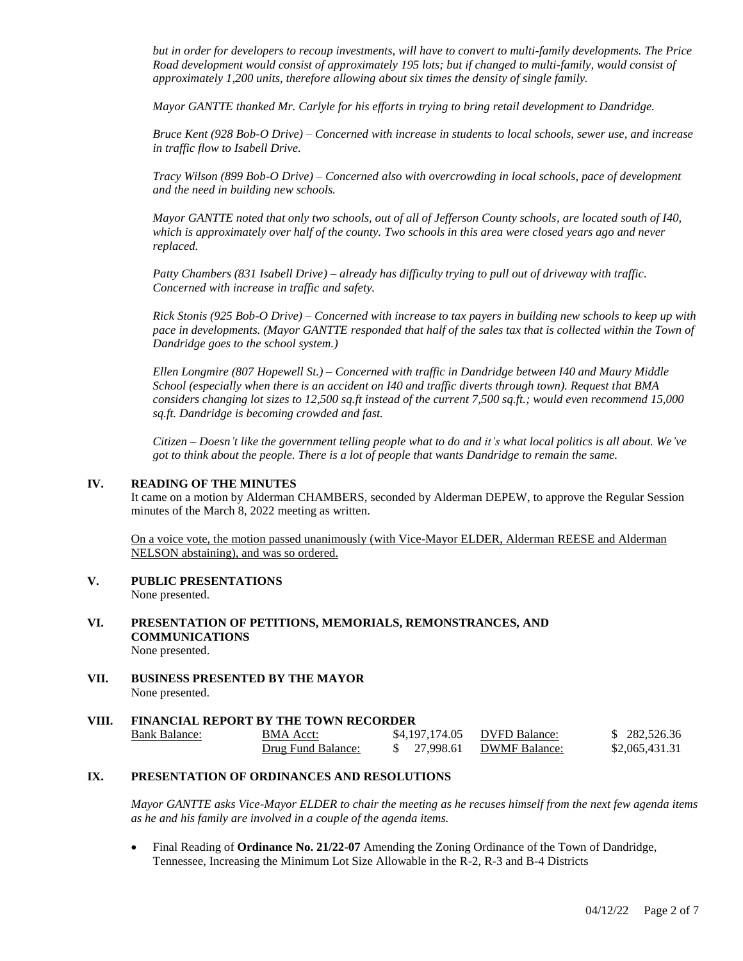*but in order for developers to recoup investments, will have to convert to multi-family developments. The Price Road development would consist of approximately 195 lots; but if changed to multi-family, would consist of approximately 1,200 units, therefore allowing about six times the density of single family.* 

*Mayor GANTTE thanked Mr. Carlyle for his efforts in trying to bring retail development to Dandridge.* 

*Bruce Kent (928 Bob-O Drive) – Concerned with increase in students to local schools, sewer use, and increase in traffic flow to Isabell Drive.* 

*Tracy Wilson (899 Bob-O Drive) – Concerned also with overcrowding in local schools, pace of development and the need in building new schools.*

*Mayor GANTTE noted that only two schools, out of all of Jefferson County schools, are located south of I40, which is approximately over half of the county. Two schools in this area were closed years ago and never replaced.* 

*Patty Chambers (831 Isabell Drive) – already has difficulty trying to pull out of driveway with traffic. Concerned with increase in traffic and safety.*

*Rick Stonis (925 Bob-O Drive) – Concerned with increase to tax payers in building new schools to keep up with pace in developments. (Mayor GANTTE responded that half of the sales tax that is collected within the Town of Dandridge goes to the school system.)* 

*Ellen Longmire (807 Hopewell St.) – Concerned with traffic in Dandridge between I40 and Maury Middle School (especially when there is an accident on I40 and traffic diverts through town). Request that BMA considers changing lot sizes to 12,500 sq.ft instead of the current 7,500 sq.ft.; would even recommend 15,000 sq.ft. Dandridge is becoming crowded and fast.* 

*Citizen – Doesn't like the government telling people what to do and it's what local politics is all about. We've got to think about the people. There is a lot of people that wants Dandridge to remain the same.*

#### **IV. READING OF THE MINUTES**

It came on a motion by Alderman CHAMBERS, seconded by Alderman DEPEW, to approve the Regular Session minutes of the March 8, 2022 meeting as written.

On a voice vote, the motion passed unanimously (with Vice-Mayor ELDER, Alderman REESE and Alderman NELSON abstaining), and was so ordered.

- **V. PUBLIC PRESENTATIONS** None presented.
- **VI. PRESENTATION OF PETITIONS, MEMORIALS, REMONSTRANCES, AND COMMUNICATIONS** None presented.
- **VII. BUSINESS PRESENTED BY THE MAYOR** None presented.

#### **VIII. FINANCIAL REPORT BY THE TOWN RECORDER**

| Bank Balance: | <b>BMA</b> Acct:   | \$4,197,174.05 | DVFD Balance: | \$282,526.36   |
|---------------|--------------------|----------------|---------------|----------------|
|               | Drug Fund Balance: | \$ 27,998.61   | DWMF Balance: | \$2,065,431.31 |

#### **IX. PRESENTATION OF ORDINANCES AND RESOLUTIONS**

*Mayor GANTTE asks Vice-Mayor ELDER to chair the meeting as he recuses himself from the next few agenda items as he and his family are involved in a couple of the agenda items.* 

 Final Reading of **Ordinance No. 21/22-07** Amending the Zoning Ordinance of the Town of Dandridge, Tennessee, Increasing the Minimum Lot Size Allowable in the R-2, R-3 and B-4 Districts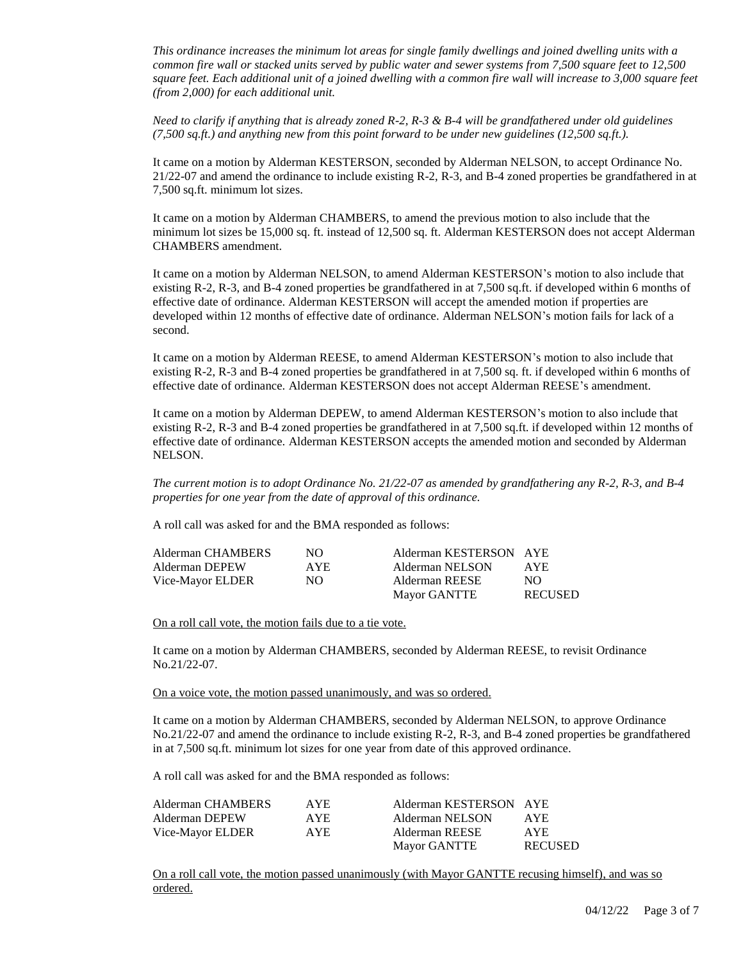*This ordinance increases the minimum lot areas for single family dwellings and joined dwelling units with a common fire wall or stacked units served by public water and sewer systems from 7,500 square feet to 12,500 square feet. Each additional unit of a joined dwelling with a common fire wall will increase to 3,000 square feet (from 2,000) for each additional unit.*

*Need to clarify if anything that is already zoned R-2, R-3 & B-4 will be grandfathered under old guidelines (7,500 sq.ft.) and anything new from this point forward to be under new guidelines (12,500 sq.ft.).* 

It came on a motion by Alderman KESTERSON, seconded by Alderman NELSON, to accept Ordinance No. 21/22-07 and amend the ordinance to include existing R-2, R-3, and B-4 zoned properties be grandfathered in at 7,500 sq.ft. minimum lot sizes.

It came on a motion by Alderman CHAMBERS, to amend the previous motion to also include that the minimum lot sizes be 15,000 sq. ft. instead of 12,500 sq. ft. Alderman KESTERSON does not accept Alderman CHAMBERS amendment.

It came on a motion by Alderman NELSON, to amend Alderman KESTERSON's motion to also include that existing R-2, R-3, and B-4 zoned properties be grandfathered in at 7,500 sq.ft. if developed within 6 months of effective date of ordinance. Alderman KESTERSON will accept the amended motion if properties are developed within 12 months of effective date of ordinance. Alderman NELSON's motion fails for lack of a second.

It came on a motion by Alderman REESE, to amend Alderman KESTERSON's motion to also include that existing R-2, R-3 and B-4 zoned properties be grandfathered in at 7,500 sq. ft. if developed within 6 months of effective date of ordinance. Alderman KESTERSON does not accept Alderman REESE's amendment.

It came on a motion by Alderman DEPEW, to amend Alderman KESTERSON's motion to also include that existing R-2, R-3 and B-4 zoned properties be grandfathered in at 7,500 sq.ft. if developed within 12 months of effective date of ordinance. Alderman KESTERSON accepts the amended motion and seconded by Alderman NELSON.

*The current motion is to adopt Ordinance No. 21/22-07 as amended by grandfathering any R-2, R-3, and B-4 properties for one year from the date of approval of this ordinance.* 

A roll call was asked for and the BMA responded as follows:

| Alderman CHAMBERS | NO.  | Alderman KESTERSON AYE |                |
|-------------------|------|------------------------|----------------|
| Alderman DEPEW    | AYE. | Alderman NELSON        | AYE.           |
| Vice-Mayor ELDER  | NO.  | Alderman REESE         | NO.            |
|                   |      | <b>Mayor GANTTE</b>    | <b>RECUSED</b> |

On a roll call vote, the motion fails due to a tie vote.

It came on a motion by Alderman CHAMBERS, seconded by Alderman REESE, to revisit Ordinance No.21/22-07.

On a voice vote, the motion passed unanimously, and was so ordered.

It came on a motion by Alderman CHAMBERS, seconded by Alderman NELSON, to approve Ordinance No.21/22-07 and amend the ordinance to include existing R-2, R-3, and B-4 zoned properties be grandfathered in at 7,500 sq.ft. minimum lot sizes for one year from date of this approved ordinance.

A roll call was asked for and the BMA responded as follows:

| Alderman CHAMBERS | AYE. | Alderman KESTERSON AYE |                |
|-------------------|------|------------------------|----------------|
| Alderman DEPEW    | AYE. | Alderman NELSON        | AYE.           |
| Vice-Mayor ELDER  | AYE. | Alderman REESE         | AYE.           |
|                   |      | <b>Mayor GANTTE</b>    | <b>RECUSED</b> |

On a roll call vote, the motion passed unanimously (with Mayor GANTTE recusing himself), and was so ordered.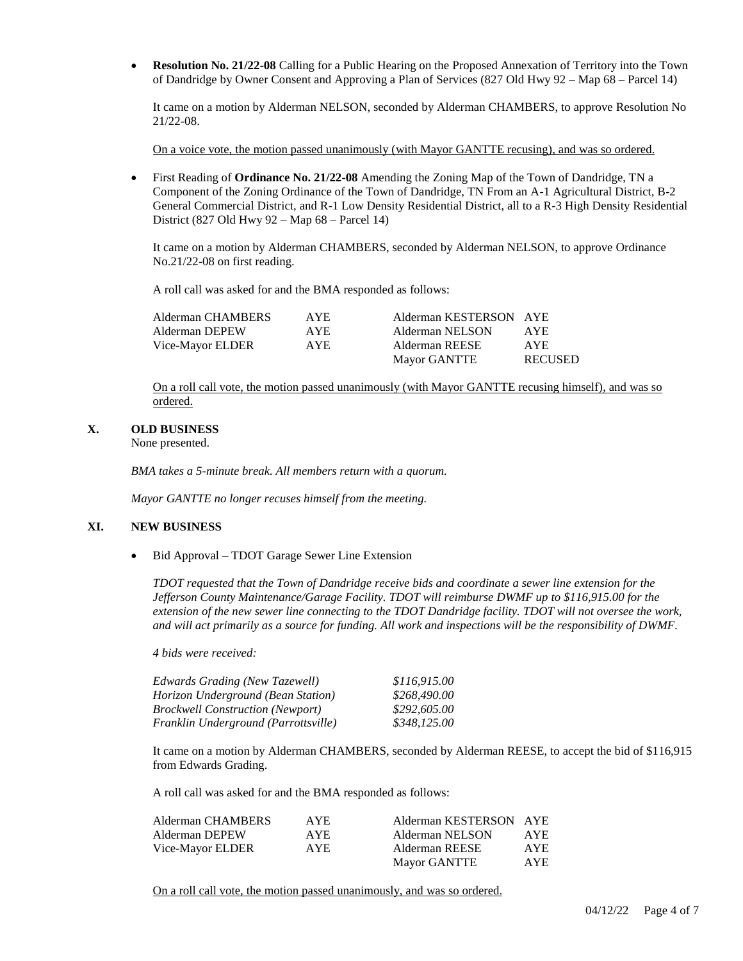**Resolution No. 21/22-08** Calling for a Public Hearing on the Proposed Annexation of Territory into the Town of Dandridge by Owner Consent and Approving a Plan of Services (827 Old Hwy 92 – Map 68 – Parcel 14)

It came on a motion by Alderman NELSON, seconded by Alderman CHAMBERS, to approve Resolution No 21/22-08.

On a voice vote, the motion passed unanimously (with Mayor GANTTE recusing), and was so ordered.

 First Reading of **Ordinance No. 21/22-08** Amending the Zoning Map of the Town of Dandridge, TN a Component of the Zoning Ordinance of the Town of Dandridge, TN From an A-1 Agricultural District, B-2 General Commercial District, and R-1 Low Density Residential District, all to a R-3 High Density Residential District (827 Old Hwy 92 – Map 68 – Parcel 14)

It came on a motion by Alderman CHAMBERS, seconded by Alderman NELSON, to approve Ordinance No.21/22-08 on first reading.

A roll call was asked for and the BMA responded as follows:

| Alderman CHAMBERS | AYE. | Alderman KESTERSON AYE |                |
|-------------------|------|------------------------|----------------|
| Alderman DEPEW    | AYE. | Alderman NELSON        | AYE.           |
| Vice-Mayor ELDER  | AYE. | Alderman REESE         | <b>AYE</b>     |
|                   |      | <b>Mayor GANTTE</b>    | <b>RECUSED</b> |

On a roll call vote, the motion passed unanimously (with Mayor GANTTE recusing himself), and was so ordered.

#### **X. OLD BUSINESS**

None presented.

*BMA takes a 5-minute break. All members return with a quorum.*

*Mayor GANTTE no longer recuses himself from the meeting.*

## **XI. NEW BUSINESS**

• Bid Approval – TDOT Garage Sewer Line Extension

*TDOT requested that the Town of Dandridge receive bids and coordinate a sewer line extension for the Jefferson County Maintenance/Garage Facility. TDOT will reimburse DWMF up to \$116,915.00 for the extension of the new sewer line connecting to the TDOT Dandridge facility. TDOT will not oversee the work, and will act primarily as a source for funding. All work and inspections will be the responsibility of DWMF.*

*4 bids were received:*

| Edwards Grading (New Tazewell)          | \$116.915.00 |
|-----------------------------------------|--------------|
| Horizon Underground (Bean Station)      | \$268,490.00 |
| <b>Brockwell Construction (Newport)</b> | \$292,605.00 |
| Franklin Underground (Parrottsville)    | \$348,125.00 |

It came on a motion by Alderman CHAMBERS, seconded by Alderman REESE, to accept the bid of \$116,915 from Edwards Grading.

A roll call was asked for and the BMA responded as follows:

| Alderman CHAMBERS | AYE. | Alderman KESTERSON AYE |      |
|-------------------|------|------------------------|------|
| Alderman DEPEW    | AYE. | Alderman NELSON        | AYE. |
| Vice-Mayor ELDER  | AYE. | Alderman REESE         | AYE. |
|                   |      | Mayor GANTTE           | AYE. |

On a roll call vote, the motion passed unanimously, and was so ordered.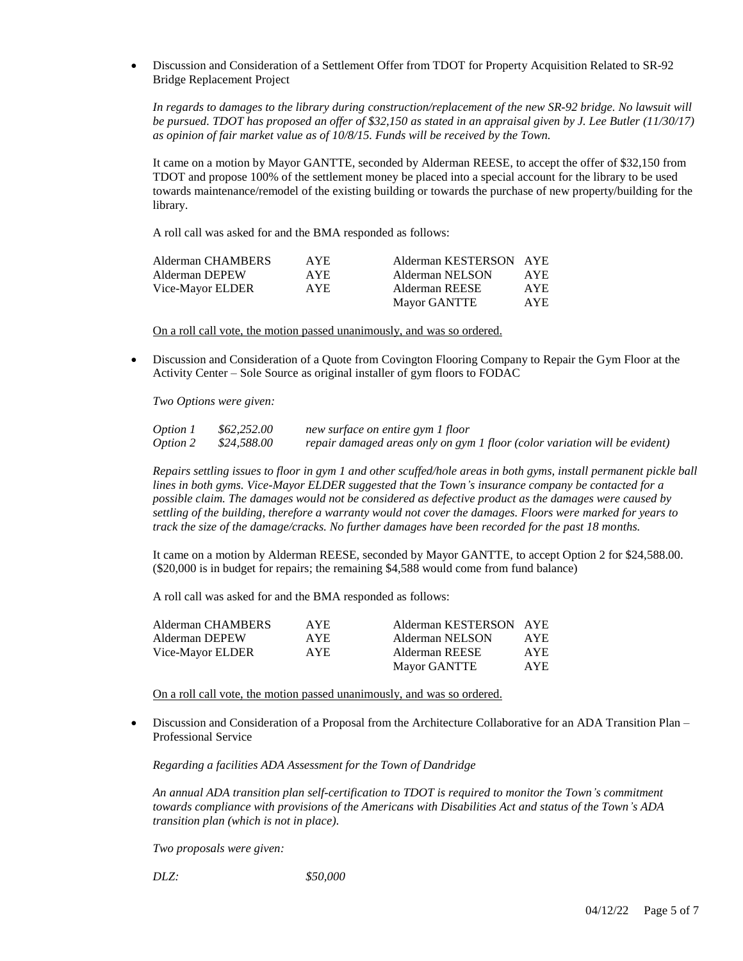Discussion and Consideration of a Settlement Offer from TDOT for Property Acquisition Related to SR-92 Bridge Replacement Project

*In regards to damages to the library during construction/replacement of the new SR-92 bridge. No lawsuit will be pursued. TDOT has proposed an offer of \$32,150 as stated in an appraisal given by J. Lee Butler (11/30/17) as opinion of fair market value as of 10/8/15. Funds will be received by the Town.*

It came on a motion by Mayor GANTTE, seconded by Alderman REESE, to accept the offer of \$32,150 from TDOT and propose 100% of the settlement money be placed into a special account for the library to be used towards maintenance/remodel of the existing building or towards the purchase of new property/building for the library.

A roll call was asked for and the BMA responded as follows:

| Alderman CHAMBERS | AYE. | Alderman KESTERSON AYE |      |
|-------------------|------|------------------------|------|
| Alderman DEPEW    | AYE. | Alderman NELSON        | AYE. |
| Vice-Mayor ELDER  | AYE. | Alderman REESE         | AYE. |
|                   |      | Mayor GANTTE           | AYE. |

On a roll call vote, the motion passed unanimously, and was so ordered.

 Discussion and Consideration of a Quote from Covington Flooring Company to Repair the Gym Floor at the Activity Center – Sole Source as original installer of gym floors to FODAC

*Two Options were given:*

| <i>Option 1</i> | \$62,252.00 | new surface on entire gym 1 floor                                          |
|-----------------|-------------|----------------------------------------------------------------------------|
| Option 2        | \$24,588.00 | repair damaged areas only on gym 1 floor (color variation will be evident) |

*Repairs settling issues to floor in gym 1 and other scuffed/hole areas in both gyms, install permanent pickle ball lines in both gyms. Vice-Mayor ELDER suggested that the Town's insurance company be contacted for a possible claim. The damages would not be considered as defective product as the damages were caused by settling of the building, therefore a warranty would not cover the damages. Floors were marked for years to track the size of the damage/cracks. No further damages have been recorded for the past 18 months.* 

It came on a motion by Alderman REESE, seconded by Mayor GANTTE, to accept Option 2 for \$24,588.00. (\$20,000 is in budget for repairs; the remaining \$4,588 would come from fund balance)

A roll call was asked for and the BMA responded as follows:

| AYE.       | Alderman KESTERSON AYE |      |
|------------|------------------------|------|
| AYE.       | Alderman NELSON        | AYE. |
| <b>AYE</b> | Alderman REESE         | AYE. |
|            | <b>Mayor GANTTE</b>    | AYE. |
|            |                        |      |

On a roll call vote, the motion passed unanimously, and was so ordered.

 Discussion and Consideration of a Proposal from the Architecture Collaborative for an ADA Transition Plan – Professional Service

*Regarding a facilities ADA Assessment for the Town of Dandridge*

*An annual ADA transition plan self-certification to TDOT is required to monitor the Town's commitment towards compliance with provisions of the Americans with Disabilities Act and status of the Town's ADA transition plan (which is not in place).*

*Two proposals were given:*

*DLZ: \$50,000*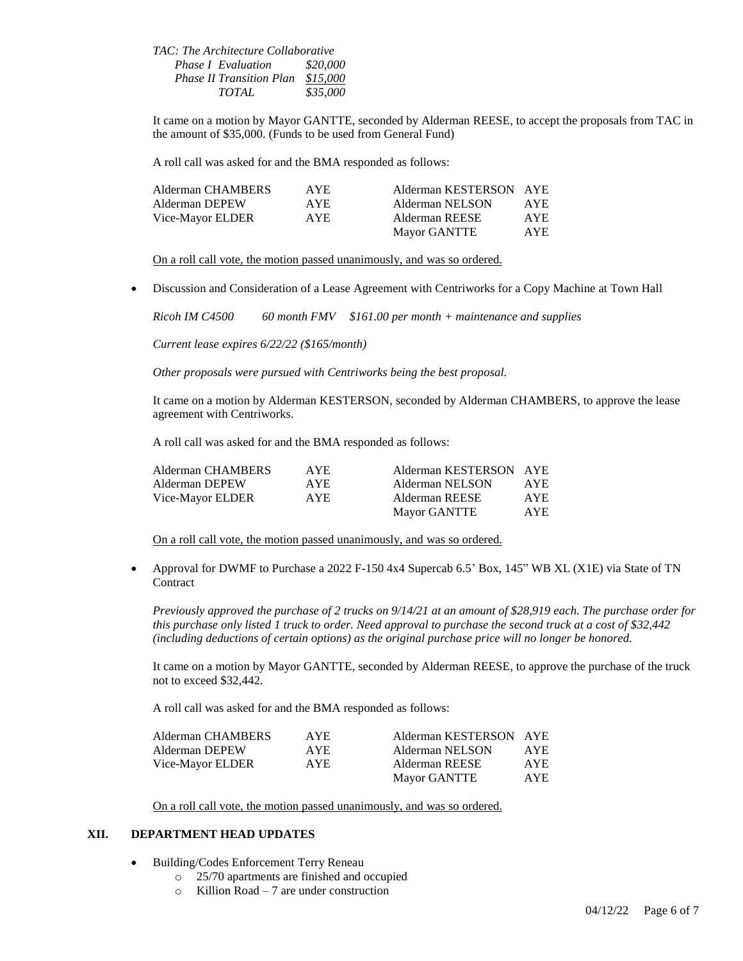*TAC: The Architecture Collaborative Phase I Evaluation \$20,000 Phase II Transition Plan \$15,000 TOTAL \$35,000*

It came on a motion by Mayor GANTTE, seconded by Alderman REESE, to accept the proposals from TAC in the amount of \$35,000. (Funds to be used from General Fund)

A roll call was asked for and the BMA responded as follows:

| Alderman CHAMBERS | AYE. | Alderman KESTERSON AYE |            |
|-------------------|------|------------------------|------------|
| Alderman DEPEW    | AYE. | Alderman NELSON        | AYE        |
| Vice-Mayor ELDER  | AYE. | Alderman REESE         | AYE.       |
|                   |      | Mayor GANTTE           | <b>AYE</b> |

On a roll call vote, the motion passed unanimously, and was so ordered.

Discussion and Consideration of a Lease Agreement with Centriworks for a Copy Machine at Town Hall

*Ricoh IM C4500 60 month FMV \$161.00 per month + maintenance and supplies*

*Current lease expires 6/22/22 (\$165/month)*

*Other proposals were pursued with Centriworks being the best proposal.* 

It came on a motion by Alderman KESTERSON, seconded by Alderman CHAMBERS, to approve the lease agreement with Centriworks.

A roll call was asked for and the BMA responded as follows:

| Alderman CHAMBERS | AYE. | Alderman KESTERSON AYE |            |
|-------------------|------|------------------------|------------|
| Alderman DEPEW    | AYE. | Alderman NELSON        | AYE.       |
| Vice-Mayor ELDER  | AYE. | Alderman REESE         | <b>AYE</b> |
|                   |      | Mayor GANTTE           | <b>AYE</b> |

On a roll call vote, the motion passed unanimously, and was so ordered.

 Approval for DWMF to Purchase a 2022 F-150 4x4 Supercab 6.5' Box, 145" WB XL (X1E) via State of TN **Contract** 

*Previously approved the purchase of 2 trucks on 9/14/21 at an amount of \$28,919 each. The purchase order for this purchase only listed 1 truck to order. Need approval to purchase the second truck at a cost of \$32,442 (including deductions of certain options) as the original purchase price will no longer be honored.*

It came on a motion by Mayor GANTTE, seconded by Alderman REESE, to approve the purchase of the truck not to exceed \$32,442.

A roll call was asked for and the BMA responded as follows:

| Alderman CHAMBERS | AYE. | Alderman KESTERSON AYE |      |
|-------------------|------|------------------------|------|
| Alderman DEPEW    | AYE. | Alderman NELSON        | AYE. |
| Vice-Mayor ELDER  | AYE. | Alderman REESE         | AYE. |
|                   |      | Mayor GANTTE           | AYE. |

On a roll call vote, the motion passed unanimously, and was so ordered.

## **XII. DEPARTMENT HEAD UPDATES**

- Building/Codes Enforcement Terry Reneau
	- o 25/70 apartments are finished and occupied
	- $\circ$  Killion Road 7 are under construction